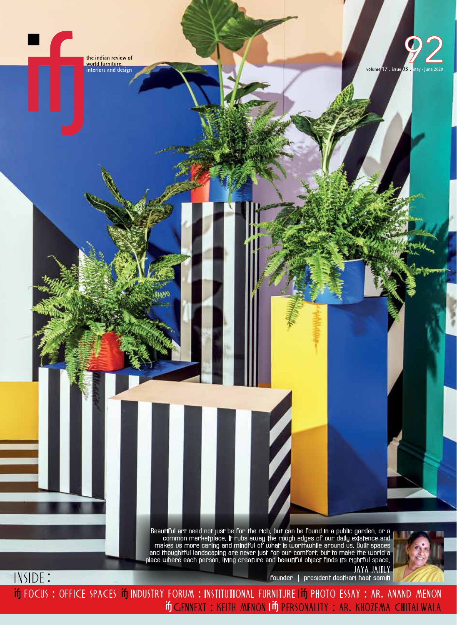the indian review of world furniture,<br>interiors and design

 $\overline{\phantom{a}}$ 

INSIDE:



Beautiful art need not just be for the rich, but can be found in a public garden, or a<br>common marketplace. It rubs away the rough edges of our daily existence and<br>makes us more caring and mindful of what is worthwhile arou

JAYA JAITLY<br>Founder | president dastkari haat samiti

In FOCUS: OFFICE SPACES IIn INDUSTRY FORUM: INSTITUTIONAL FURNITURE IIn PHOTO ESSAY: AR. ANAND MENON if GENNEXT: KEITH MENON I IF PERSONALITY: AR. KHOZEMA CHITALWALA